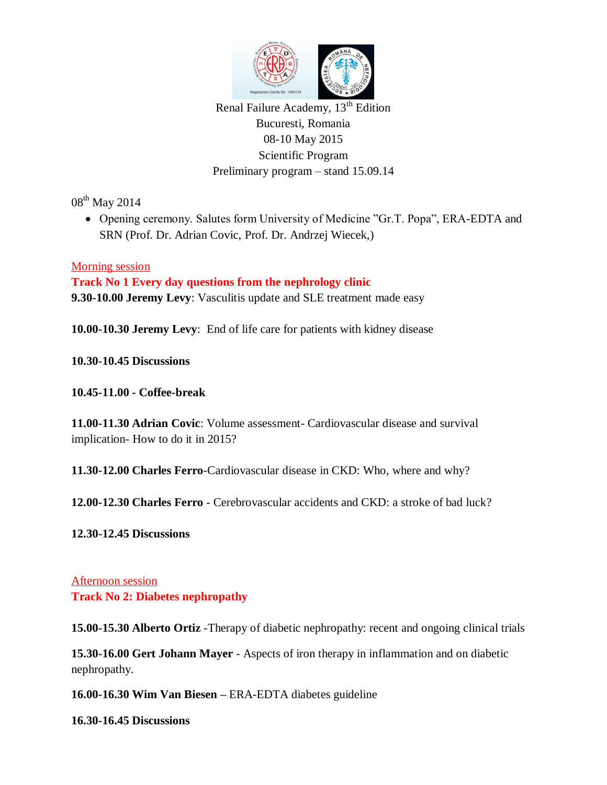

Renal Failure Academy,  $13<sup>th</sup>$  Edition Bucuresti, Romania 08-10 May 2015 Scientific Program Preliminary program – stand 15.09.14

08<sup>th</sup> May 2014

 Opening ceremony. Salutes form University of Medicine "Gr.T. Popa", ERA-EDTA and SRN (Prof. Dr. Adrian Covic, Prof. Dr. Andrzej Wiecek,)

## Morning session

**Track No 1 Every day questions from the nephrology clinic 9.30-10.00 Jeremy Levy**: Vasculitis update and SLE treatment made easy

**10.00-10.30 Jeremy Levy**: End of life care for patients with kidney disease

**10.30-10.45 Discussions**

**10.45-11.00 - Coffee-break**

**11.00-11.30 Adrian Covic**: Volume assessment- Cardiovascular disease and survival implication- How to do it in 2015?

**11.30-12.00 Charles Ferro**-Cardiovascular disease in CKD: Who, where and why?

**12.00-12.30 Charles Ferro** - Cerebrovascular accidents and CKD: a stroke of bad luck?

**12.30-12.45 Discussions**

Afternoon session **Track No 2: Diabetes nephropathy**

**15.00-15.30 Alberto Ortiz** -Therapy of diabetic nephropathy: recent and ongoing clinical trials

**15.30-16.00 Gert Johann Mayer** - Aspects of iron therapy in inflammation and on diabetic nephropathy.

**16.00-16.30 Wim Van Biesen –** ERA-EDTA diabetes guideline

**16.30-16.45 Discussions**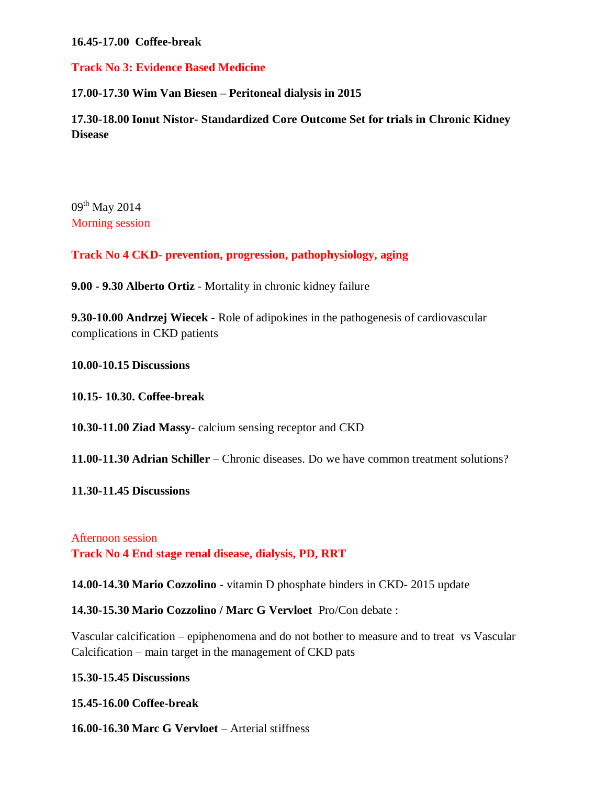**16.45-17.00 Coffee-break**

**Track No 3: Evidence Based Medicine**

**17.00-17.30 Wim Van Biesen – Peritoneal dialysis in 2015**

**17.30-18.00 Ionut Nistor- Standardized Core Outcome Set for trials in Chronic Kidney Disease**

 $09^{th}$  May 2014 Morning session

**Track No 4 CKD- prevention, progression, pathophysiology, aging**

**9.00 - 9.30 Alberto Ortiz** - Mortality in chronic kidney failure

**9.30-10.00 Andrzej Wiecek** - Role of adipokines in the pathogenesis of cardiovascular complications in CKD patients

**10.00-10.15 Discussions**

**10.15- 10.30. Coffee-break**

**10.30-11.00 Ziad Massy**- calcium sensing receptor and CKD

**11.00-11.30 Adrian Schiller** – Chronic diseases. Do we have common treatment solutions?

**11.30-11.45 Discussions**

Afternoon session **Track No 4 End stage renal disease, dialysis, PD, RRT**

**14.00-14.30 Mario Cozzolino** - vitamin D phosphate binders in CKD- 2015 update

**14.30-15.30 Mario Cozzolino / Marc G Vervloet** Pro/Con debate :

Vascular calcification – epiphenomena and do not bother to measure and to treat vs Vascular Calcification – main target in the management of CKD pats

## **15.30-15.45 Discussions**

**15.45-16.00 Coffee-break**

**16.00-16.30 Marc G Vervloet** – Arterial stiffness